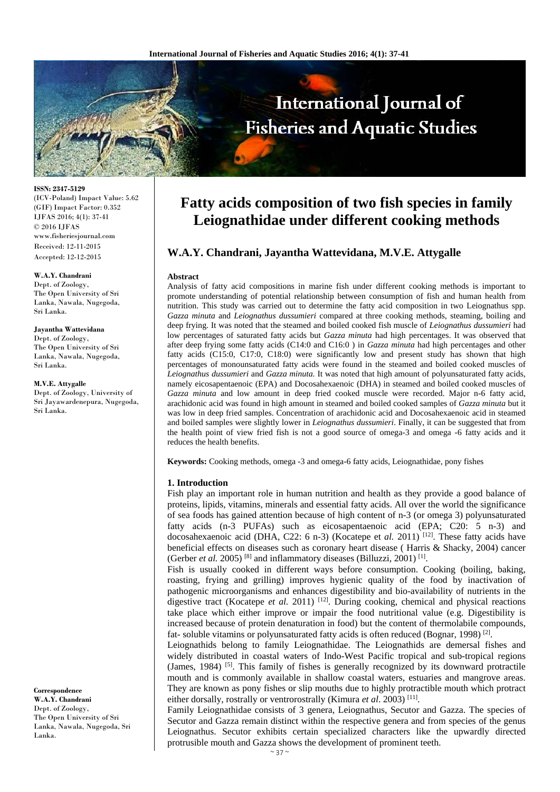

**ISSN: 2347-5129**  (ICV-Poland) Impact Value: 5.62 (GIF) Impact Factor: 0.352 IJFAS 2016; 4(1): 37-41 © 2016 IJFAS www.fisheriesjournal.com Received: 12-11-2015 Accepted: 12-12-2015

#### **W.A.Y. Chandrani**

Dept. of Zoology, The Open University of Sri Lanka, Nawala, Nugegoda, Sri Lanka.

#### **Jayantha Wattevidana**  Dept. of Zoology, The Open University of Sri

Lanka, Nawala, Nugegoda, Sri Lanka.

**M.V.E. Attygalle**  Dept. of Zoology, University of Sri Jayawardenepura, Nugegoda, Sri Lanka.

#### **Correspondence**

**W.A.Y. Chandrani**  Dept. of Zoology, The Open University of Sri Lanka, Nawala, Nugegoda, Sri Lanka.

# **Fatty acids composition of two fish species in family Leiognathidae under different cooking methods**

# **W.A.Y. Chandrani, Jayantha Wattevidana, M.V.E. Attygalle**

#### **Abstract**

Analysis of fatty acid compositions in marine fish under different cooking methods is important to promote understanding of potential relationship between consumption of fish and human health from nutrition. This study was carried out to determine the fatty acid composition in two Leiognathus spp. *Gazza minuta* and *Leiognathus dussumieri* compared at three cooking methods, steaming, boiling and deep frying. It was noted that the steamed and boiled cooked fish muscle of *Leiognathus dussumieri* had low percentages of saturated fatty acids but *Gazza minuta* had high percentages. It was observed that after deep frying some fatty acids (C14:0 and C16:0 ) in *Gazza minuta* had high percentages and other fatty acids (C15:0, C17:0, C18:0) were significantly low and present study has shown that high percentages of monounsaturated fatty acids were found in the steamed and boiled cooked muscles of *Leiognathus dussumieri* and *Gazza minuta.* It was noted that high amount of polyunsaturated fatty acids, namely eicosapentaenoic (EPA) and Docosahexaenoic (DHA) in steamed and boiled cooked muscles of *Gazza minuta* and low amount in deep fried cooked muscle were recorded. Major n-6 fatty acid, arachidonic acid was found in high amount in steamed and boiled cooked samples of *Gazza minuta* but it was low in deep fried samples. Concentration of arachidonic acid and Docosahexaenoic acid in steamed and boiled samples were slightly lower in *Leiognathus dussumieri*. Finally, it can be suggested that from the health point of view fried fish is not a good source of omega-3 and omega -6 fatty acids and it reduces the health benefits.

**Keywords:** Cooking methods, omega -3 and omega-6 fatty acids, Leiognathidae, pony fishes

#### **1. Introduction**

Fish play an important role in human nutrition and health as they provide a good balance of proteins, lipids, vitamins, minerals and essential fatty acids. All over the world the significance of sea foods has gained attention because of high content of n-3 (or omega 3) polyunsaturated fatty acids (n-3 PUFAs) such as eicosapentaenoic acid (EPA; C20: 5 n-3) and docosahexaenoic acid (DHA, C22: 6 n-3) (Kocatepe et al. 2011)<sup>[12]</sup>. These fatty acids have beneficial effects on diseases such as coronary heart disease ( Harris & Shacky, 2004) cancer (Gerber *et al.* 2005) [8] and inflammatory diseases (Billuzzi, 2001) [1].

Fish is usually cooked in different ways before consumption. Cooking (boiling, baking, roasting, frying and grilling) improves hygienic quality of the food by inactivation of pathogenic microorganisms and enhances digestibility and bio-availability of nutrients in the digestive tract (Kocatepe *et al.* 2011) <sup>[12]</sup>. During cooking, chemical and physical reactions take place which either improve or impair the food nutritional value (e.g. Digestibility is increased because of protein denaturation in food) but the content of thermolabile compounds, fat- soluble vitamins or polyunsaturated fatty acids is often reduced (Bognar, 1998)<sup>[2]</sup>.

Leiognathids belong to family Leiognathidae. The Leiognathids are demersal fishes and widely distributed in coastal waters of Indo-West Pacific tropical and sub-tropical regions (James, 1984) <sup>[5]</sup>. This family of fishes is generally recognized by its downward protractile mouth and is commonly available in shallow coastal waters, estuaries and mangrove areas. They are known as pony fishes or slip mouths due to highly protractible mouth which protract either dorsally, rostrally or ventrorostrally (Kimura *et al*. 2003) [11].

Family Leiognathidae consists of 3 genera, Leiognathus, Secutor and Gazza. The species of Secutor and Gazza remain distinct within the respective genera and from species of the genus Leiognathus. Secutor exhibits certain specialized characters like the upwardly directed protrusible mouth and Gazza shows the development of prominent teeth.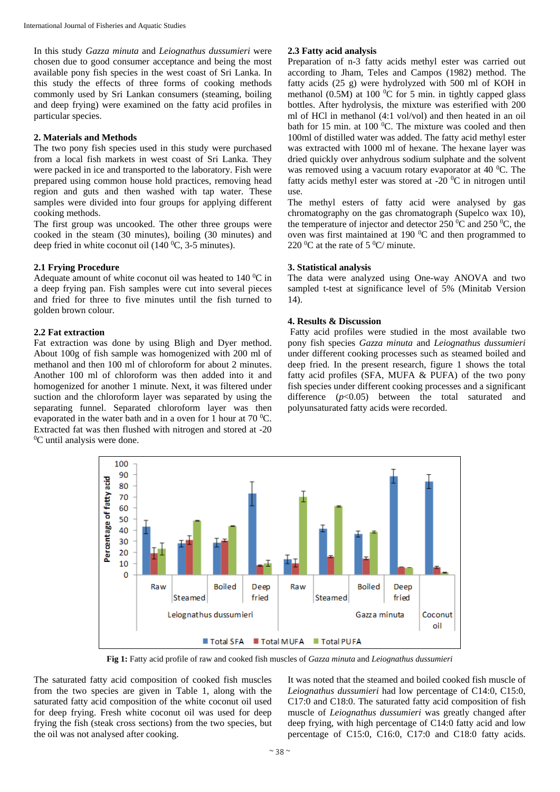In this study *Gazza minuta* and *Leiognathus dussumieri* were chosen due to good consumer acceptance and being the most available pony fish species in the west coast of Sri Lanka. In this study the effects of three forms of cooking methods commonly used by Sri Lankan consumers (steaming, boiling and deep frying) were examined on the fatty acid profiles in particular species.

## **2. Materials and Methods**

The two pony fish species used in this study were purchased from a local fish markets in west coast of Sri Lanka. They were packed in ice and transported to the laboratory. Fish were prepared using common house hold practices, removing head region and guts and then washed with tap water. These samples were divided into four groups for applying different cooking methods.

The first group was uncooked. The other three groups were cooked in the steam (30 minutes), boiling (30 minutes) and deep fried in white coconut oil  $(140 \degree C, 3-5 \text{ minutes})$ .

## **2.1 Frying Procedure**

Adequate amount of white coconut oil was heated to  $140\,^0C$  in a deep frying pan. Fish samples were cut into several pieces and fried for three to five minutes until the fish turned to golden brown colour.

## **2.2 Fat extraction**

Fat extraction was done by using Bligh and Dyer method. About 100g of fish sample was homogenized with 200 ml of methanol and then 100 ml of chloroform for about 2 minutes. Another 100 ml of chloroform was then added into it and homogenized for another 1 minute. Next, it was filtered under suction and the chloroform layer was separated by using the separating funnel. Separated chloroform layer was then evaporated in the water bath and in a oven for 1 hour at  $70^{\circ}$ C. Extracted fat was then flushed with nitrogen and stored at -20 <sup>0</sup>C until analysis were done.

# **2.3 Fatty acid analysis**

Preparation of n-3 fatty acids methyl ester was carried out according to Jham, Teles and Campos (1982) method. The fatty acids (25 g) were hydrolyzed with 500 ml of KOH in methanol (0.5M) at 100 $\,^0C$  for 5 min. in tightly capped glass bottles. After hydrolysis, the mixture was esterified with 200 ml of HCl in methanol (4:1 vol/vol) and then heated in an oil bath for 15 min. at 100 $\,^0$ C. The mixture was cooled and then 100ml of distilled water was added. The fatty acid methyl ester was extracted with 1000 ml of hexane. The hexane layer was dried quickly over anhydrous sodium sulphate and the solvent was removed using a vacuum rotary evaporator at  $40\degree$ C. The fatty acids methyl ester was stored at -20 $\,^0C$  in nitrogen until use.

The methyl esters of fatty acid were analysed by gas chromatography on the gas chromatograph (Supelco wax 10), the temperature of injector and detector 250  $\rm{^0C}$  and 250  $\rm{^0C}$ , the oven was first maintained at 190 $\mathrm{^{0}C}$  and then programmed to 220  $\rm{^0C}$  at the rate of 5  $\rm{^0C/}$  minute.

## **3. Statistical analysis**

The data were analyzed using One-way ANOVA and two sampled t-test at significance level of 5% (Minitab Version 14).

## **4. Results & Discussion**

 Fatty acid profiles were studied in the most available two pony fish species *Gazza minuta* and *Leiognathus dussumieri* under different cooking processes such as steamed boiled and deep fried. In the present research, figure 1 shows the total fatty acid profiles (SFA, MUFA & PUFA) of the two pony fish species under different cooking processes and a significant difference (*p*<0.05) between the total saturated and polyunsaturated fatty acids were recorded.



**Fig 1:** Fatty acid profile of raw and cooked fish muscles of *Gazza minuta* and *Leiognathus dussumieri*

The saturated fatty acid composition of cooked fish muscles from the two species are given in Table 1, along with the saturated fatty acid composition of the white coconut oil used for deep frying. Fresh white coconut oil was used for deep frying the fish (steak cross sections) from the two species, but the oil was not analysed after cooking.

It was noted that the steamed and boiled cooked fish muscle of *Leiognathus dussumieri* had low percentage of C14:0, C15:0, C17:0 and C18:0. The saturated fatty acid composition of fish muscle of *Leiognathus dussumieri* was greatly changed after deep frying, with high percentage of C14:0 fatty acid and low percentage of C15:0, C16:0, C17:0 and C18:0 fatty acids.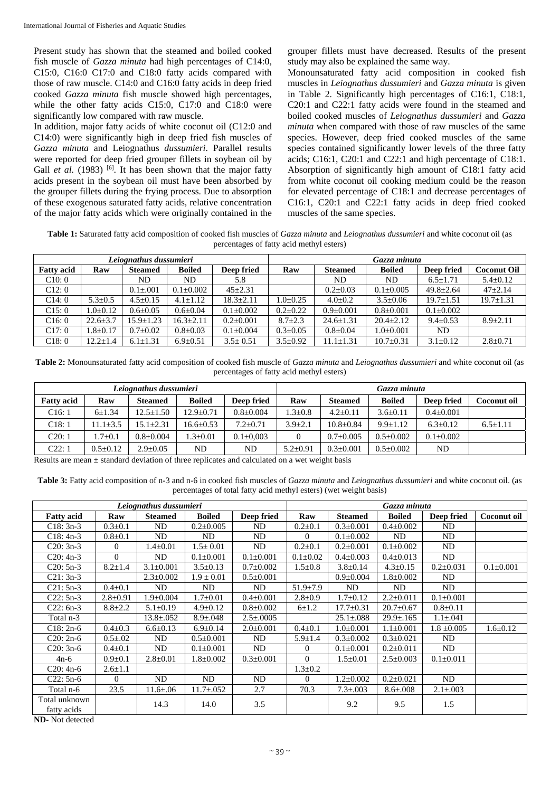Present study has shown that the steamed and boiled cooked fish muscle of *Gazza minuta* had high percentages of C14:0, C15:0, C16:0 C17:0 and C18:0 fatty acids compared with those of raw muscle. C14:0 and C16:0 fatty acids in deep fried cooked *Gazza minuta* fish muscle showed high percentages, while the other fatty acids C15:0, C17:0 and C18:0 were significantly low compared with raw muscle.

In addition, major fatty acids of white coconut oil (C12:0 and C14:0) were significantly high in deep fried fish muscles of *Gazza minuta* and Leiognathus *dussumieri*. Parallel results were reported for deep fried grouper fillets in soybean oil by Gall *et al.* (1983) <sup>[6]</sup>. It has been shown that the major fatty acids present in the soybean oil must have been absorbed by the grouper fillets during the frying process. Due to absorption of these exogenous saturated fatty acids, relative concentration of the major fatty acids which were originally contained in the

grouper fillets must have decreased. Results of the present study may also be explained the same way.

Monounsaturated fatty acid composition in cooked fish muscles in *Leiognathus dussumieri* and *Gazza minuta* is given in Table 2. Significantly high percentages of C16:1, C18:1, C20:1 and C22:1 fatty acids were found in the steamed and boiled cooked muscles of *Leiognathus dussumieri* and *Gazza minuta* when compared with those of raw muscles of the same species. However, deep fried cooked muscles of the same species contained significantly lower levels of the three fatty acids; C16:1, C20:1 and C22:1 and high percentage of C18:1. Absorption of significantly high amount of C18:1 fatty acid from white coconut oil cooking medium could be the reason for elevated percentage of C18:1 and decrease percentages of C16:1, C20:1 and C22:1 fatty acids in deep fried cooked muscles of the same species.

**Table 1:** Saturated fatty acid composition of cooked fish muscles of *Gazza minuta* and *Leiognathus dussumieri* and white coconut oil (as percentages of fatty acid methyl esters)

|                   |                | Leiognathus dussumieri |                 |                 | Gazza minuta   |                 |                 |                 |                    |  |
|-------------------|----------------|------------------------|-----------------|-----------------|----------------|-----------------|-----------------|-----------------|--------------------|--|
| <b>Fatty acid</b> | Raw            | <b>Steamed</b>         | <b>Boiled</b>   | Deep fried      | Raw            | <b>Steamed</b>  | <b>Boiled</b>   | Deep fried      | <b>Coconut Oil</b> |  |
| C10:0             |                | ND.                    | ND              | 5.8             |                | ND.             | ND              | $6.5 \pm 1.71$  | $5.4 \pm 0.12$     |  |
| C12:0             |                | $0.1 \pm 0.01$         | $0.1 \pm 0.002$ | $45 \pm 2.31$   |                | $0.2 \pm 0.03$  | $0.1 \pm 0.005$ | $49.8 \pm 2.64$ | $47 \pm 2.14$      |  |
| C14:0             | $5.3 \pm 0.5$  | $4.5 \pm 0.15$         | $4.1 \pm 1.12$  | $18.3 \pm 2.11$ | $1.0 \pm 0.25$ | $4.0 \pm 0.2$   | $3.5 \pm 0.06$  | $19.7 \pm 1.51$ | $19.7 \pm 1.31$    |  |
| C15:0             | $1.0 \pm 0.12$ | $0.6 \pm 0.05$         | $0.6 \pm 0.04$  | $0.1 \pm 0.002$ | $0.2 \pm 0.22$ | $0.9 \pm 0.001$ | $0.8 \pm 0.001$ | $0.1 \pm 0.002$ |                    |  |
| C16:0             | $22.6 \pm 3.7$ | $15.9 \pm 1.23$        | $16.3 \pm 2.11$ | $0.2 \pm 0.001$ | $8.7 \pm 2.3$  | $24.6 \pm 1.31$ | $20.4 \pm 2.12$ | $9.4 \pm 0.53$  | $8.9 \pm 2.11$     |  |
| C17:0             | $1.8 \pm 0.17$ | $0.7 \pm 0.02$         | $0.8 \pm 0.03$  | $0.1 \pm 0.004$ | $0.3 \pm 0.05$ | $0.8 \pm 0.04$  | $1.0 \pm 0.001$ | ND.             |                    |  |
| C18:0             | $12.2 \pm 1.4$ | $6.1 \pm 1.31$         | $6.9 \pm 0.51$  | $3.5 \pm 0.51$  | $3.5 \pm 0.92$ | $11.1 \pm 1.31$ | $10.7 \pm 0.31$ | $3.1 \pm 0.12$  | $2.8 \pm 0.71$     |  |

**Table 2:** Monounsaturated fatty acid composition of cooked fish muscle of *Gazza minuta* and *Leiognathus dussumieri* and white coconut oil (as percentages of fatty acid methyl esters)

| Leiognathus dussumieri |                |                 |                 |                 | Gazza minuta   |                 |                 |                 |                |
|------------------------|----------------|-----------------|-----------------|-----------------|----------------|-----------------|-----------------|-----------------|----------------|
| <b>Fatty acid</b>      | Raw            | <b>Steamed</b>  | <b>Boiled</b>   | Deep fried      | Raw            | <b>Steamed</b>  | <b>Boiled</b>   | Deep fried      | Coconut oil    |
| C16:1                  | $6 \pm 1.34$   | $12.5 \pm 1.50$ | $12.9 \pm 0.71$ | $0.8 \pm 0.004$ | $1.3 \pm 0.8$  | $4.2 \pm 0.11$  | $3.6 \pm 0.11$  | $0.4 \pm 0.001$ |                |
| C18:1                  | $11.1 \pm 3.5$ | $15.1 \pm 2.31$ | $16.6 \pm 0.53$ | $7.2 \pm 0.71$  | $3.9 \pm 2.1$  | $10.8 \pm 0.84$ | $9.9 \pm 1.12$  | $6.3 \pm 0.12$  | $6.5 \pm 1.11$ |
| C20:1                  | $.7 \pm 0.1$   | $0.8+0.004$     | $.3 \pm 0.01$   | $0.1 \pm 0.003$ | $\theta$       | $0.7+0.005$     | $0.5 \pm 0.002$ | $0.1 \pm 0.002$ |                |
| C22: 1                 | $0.5 \pm 0.12$ | $2.9 \pm 0.05$  | ND              | ND              | $5.2 \pm 0.91$ | $0.3 \pm 0.001$ | $0.5 \pm 0.002$ | ND              |                |

Results are mean  $\pm$  standard deviation of three replicates and calculated on a wet weight basis

**Table 3:** Fatty acid composition of n-3 and n-6 in cooked fish muscles of *Gazza minuta* and *Leiognathus dussumieri* and white coconut oil. (as percentages of total fatty acid methyl esters) (wet weight basis)

| Leiognathus dussumieri                                                                                                                                                                                                                                                                                                                                             |                |                 |                  |                  |                | Gazza minuta    |                  |                 |                 |  |  |
|--------------------------------------------------------------------------------------------------------------------------------------------------------------------------------------------------------------------------------------------------------------------------------------------------------------------------------------------------------------------|----------------|-----------------|------------------|------------------|----------------|-----------------|------------------|-----------------|-----------------|--|--|
| <b>Fatty acid</b>                                                                                                                                                                                                                                                                                                                                                  | Raw            | <b>Steamed</b>  | <b>Boiled</b>    | Deep fried       | Raw            | <b>Steamed</b>  | <b>Boiled</b>    | Deep fried      | Coconut oil     |  |  |
| $C18: 3n-3$                                                                                                                                                                                                                                                                                                                                                        | $0.3 \pm 0.1$  | ND              | $0.2 \pm 0.005$  | ND               | $0.2 \pm 0.1$  | $0.3 \pm 0.001$ | $0.4 \pm 0.002$  | ND              |                 |  |  |
| $C18: 4n-3$                                                                                                                                                                                                                                                                                                                                                        | $0.8 \pm 0.1$  | ND              | ND.              | ND               | $\Omega$       | $0.1 \pm 0.002$ | ND               | ND              |                 |  |  |
| $C20: 3n-3$                                                                                                                                                                                                                                                                                                                                                        | $\Omega$       | $1.4 \pm 0.01$  | $1.5 \pm 0.01$   | ND               | $0.2 \pm 0.1$  | $0.2 \pm 0.001$ | $0.1 \pm 0.002$  | ND              |                 |  |  |
| $C20: 4n-3$                                                                                                                                                                                                                                                                                                                                                        | $\Omega$       | ND              | $0.1 \pm 0.001$  | $0.1 \pm 0.001$  | $0.1 \pm 0.02$ | $0.4 \pm 0.003$ | $0.4 \pm 0.013$  | ND              |                 |  |  |
| $C20: 5n-3$                                                                                                                                                                                                                                                                                                                                                        | $8.2 \pm 1.4$  | $3.1 \pm 0.001$ | $3.5 \pm 0.13$   | $0.7 \pm 0.002$  | $1.5 \pm 0.8$  | $3.8 \pm 0.14$  | $4.3 \pm 0.15$   | $0.2 \pm 0.031$ | $0.1 \pm 0.001$ |  |  |
| $C21: 3n-3$                                                                                                                                                                                                                                                                                                                                                        |                | $2.3 \pm 0.002$ | $1.9 \pm 0.01$   | $0.5 \pm 0.001$  |                | $0.9 \pm 0.004$ | $1.8 \pm 0.002$  | ND              |                 |  |  |
| $C21: 5n-3$                                                                                                                                                                                                                                                                                                                                                        | $0.4 \pm 0.1$  | ND              | ND               | ND               | $51.9 \pm 7.9$ | ND              | ND               | ND              |                 |  |  |
| $C22: 5n-3$                                                                                                                                                                                                                                                                                                                                                        | $2.8 \pm 0.91$ | $1.9 \pm 0.004$ | $1.7 \pm 0.01$   | $0.4 \pm 0.001$  | $2.8 \pm 0.9$  | $1.7 \pm 0.12$  | $2.2 \pm 0.011$  | $0.1 \pm 0.001$ |                 |  |  |
| $C22: 6n-3$                                                                                                                                                                                                                                                                                                                                                        | $8.8 \pm 2.2$  | $5.1 \pm 0.19$  | $4.9 \pm 0.12$   | $0.8 \pm 0.002$  | $6\pm1.2$      | $17.7 \pm 0.31$ | $20.7 \pm 0.67$  | $0.8 \pm 0.11$  |                 |  |  |
| Total n-3                                                                                                                                                                                                                                                                                                                                                          |                | $13.8 \pm .052$ | $8.9 \pm .048$   | $2.5 \pm 0.0005$ |                | $25.1 \pm .088$ | $29.9 \pm 0.165$ | $1.1 \pm .041$  |                 |  |  |
| $C18: 2n-6$                                                                                                                                                                                                                                                                                                                                                        | $0.4 \pm 0.3$  | $6.6 \pm 0.13$  | $6.9 \pm 0.14$   | $2.0 \pm 0.001$  | $0.4 \pm 0.1$  | $1.0+0.001$     | $1.1 \pm 0.001$  | $1.8 \pm 0.005$ | $1.6 \pm 0.12$  |  |  |
| $C20: 2n-6$                                                                                                                                                                                                                                                                                                                                                        | $0.5 \pm 0.02$ | ND              | $0.5 \pm 0.001$  | ND               | $5.9 \pm 1.4$  | $0.3 \pm 0.002$ | $0.3 \pm 0.021$  | ND              |                 |  |  |
| $C20: 3n-6$                                                                                                                                                                                                                                                                                                                                                        | $0.4 \pm 0.1$  | ND              | $0.1 \pm 0.001$  | ND.              | $\Omega$       | $0.1 \pm 0.001$ | $0.2 \pm 0.011$  | ND              |                 |  |  |
| $4n-6$                                                                                                                                                                                                                                                                                                                                                             | $0.9 \pm 0.1$  | $2.8 \pm 0.01$  | $1.8 \pm 0.002$  | $0.3 \pm 0.001$  | $\Omega$       | $1.5 \pm 0.01$  | $2.5 \pm 0.003$  | $0.1 \pm 0.011$ |                 |  |  |
| $C20: 4n-6$                                                                                                                                                                                                                                                                                                                                                        | $2.6 \pm 1.1$  |                 |                  |                  | $1.3 \pm 0.2$  |                 |                  |                 |                 |  |  |
| $C22: 5n-6$                                                                                                                                                                                                                                                                                                                                                        | $\Omega$       | ND              | ND               | ND               | $\Omega$       | $1.2 \pm 0.002$ | $0.2 \pm 0.021$  | ND              |                 |  |  |
| Total n-6                                                                                                                                                                                                                                                                                                                                                          | 23.5           | $11.6 \pm .06$  | $11.7 \pm 0.052$ | 2.7              | 70.3           | $7.3 \pm 0.003$ | $8.6 \pm .008$   | $2.1 \pm 0.003$ |                 |  |  |
| Total unknown<br>fatty acids<br>$\mathbf{N}$ $\mathbf{N}$ $\mathbf{N}$ $\mathbf{N}$ $\mathbf{N}$ $\mathbf{N}$ $\mathbf{N}$ $\mathbf{N}$ $\mathbf{N}$ $\mathbf{N}$ $\mathbf{N}$ $\mathbf{N}$ $\mathbf{N}$ $\mathbf{N}$ $\mathbf{N}$ $\mathbf{N}$ $\mathbf{N}$ $\mathbf{N}$ $\mathbf{N}$ $\mathbf{N}$ $\mathbf{N}$ $\mathbf{N}$ $\mathbf{N}$ $\mathbf{N}$ $\mathbf{$ |                | 14.3            | 14.0             | 3.5              |                | 9.2             | 9.5              | 1.5             |                 |  |  |

**ND-** Not detected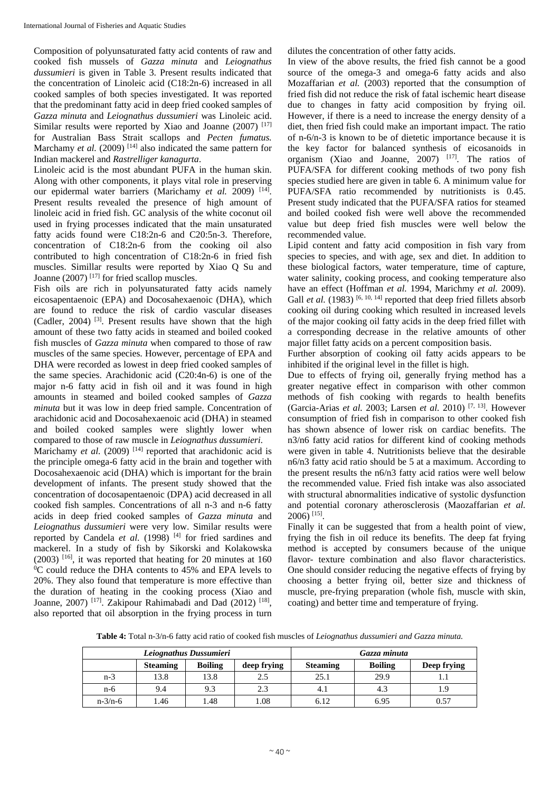Composition of polyunsaturated fatty acid contents of raw and cooked fish mussels of *Gazza minuta* and *Leiognathus dussumieri* is given in Table 3. Present results indicated that the concentration of Linoleic acid (C18:2n-6) increased in all cooked samples of both species investigated. It was reported that the predominant fatty acid in deep fried cooked samples of *Gazza minuta* and *Leiognathus dussumieri* was Linoleic acid. Similar results were reported by Xiao and Joanne  $(2007)$  [17] for Australian Bass Strait scallops and *Pecten fumatus.*  Marchamy *et al.* (2009)<sup>[14]</sup> also indicated the same pattern for Indian mackerel and *Rastrelliger kanagurta*.

Linoleic acid is the most abundant PUFA in the human skin. Along with other components, it plays vital role in preserving our epidermal water barriers (Marichamy *et al.* 2009)<sup>[14]</sup>. Present results revealed the presence of high amount of linoleic acid in fried fish. GC analysis of the white coconut oil used in frying processes indicated that the main unsaturated fatty acids found were C18:2n-6 and C20:5n-3. Therefore, concentration of C18:2n-6 from the cooking oil also contributed to high concentration of C18:2n-6 in fried fish muscles. Simillar results were reported by Xiao Q Su and Joanne (2007) [17] for fried scallop muscles.

Fish oils are rich in polyunsaturated fatty acids namely eicosapentaenoic (EPA) and Docosahexaenoic (DHA), which are found to reduce the risk of cardio vascular diseases (Cadler, 2004) [3]. Present results have shown that the high amount of these two fatty acids in steamed and boiled cooked fish muscles of *Gazza minuta* when compared to those of raw muscles of the same species. However, percentage of EPA and DHA were recorded as lowest in deep fried cooked samples of the same species. Arachidonic acid (C20:4n-6) is one of the major n-6 fatty acid in fish oil and it was found in high amounts in steamed and boiled cooked samples of *Gazza minuta* but it was low in deep fried sample. Concentration of arachidonic acid and Docosahexaenoic acid (DHA) in steamed and boiled cooked samples were slightly lower when compared to those of raw muscle in *Leiognathus dussumieri*.

Marichamy *et al.* (2009)<sup>[14]</sup> reported that arachidonic acid is the principle omega-6 fatty acid in the brain and together with Docosahexaenoic acid (DHA) which is important for the brain development of infants. The present study showed that the concentration of docosapentaenoic (DPA) acid decreased in all cooked fish samples. Concentrations of all n-3 and n-6 fatty acids in deep fried cooked samples of *Gazza minuta* and *Leiognathus dussumieri* were very low. Similar results were reported by Candela et al. (1998)<sup>[4]</sup> for fried sardines and mackerel. In a study of fish by Sikorski and Kolakowska  $(2003)$  <sup>[16]</sup>, it was reported that heating for 20 minutes at 160  $\rm{^{0}C}$  could reduce the DHA contents to 45% and EPA levels to 20%. They also found that temperature is more effective than the duration of heating in the cooking process (Xiao and Joanne, 2007) <sup>[17]</sup>. Zakipour Rahimabadi and Dad (2012) <sup>[18]</sup>, also reported that oil absorption in the frying process in turn

dilutes the concentration of other fatty acids.

In view of the above results, the fried fish cannot be a good source of the omega-3 and omega-6 fatty acids and also Mozaffarian *et al.* (2003) reported that the consumption of fried fish did not reduce the risk of fatal ischemic heart disease due to changes in fatty acid composition by frying oil. However, if there is a need to increase the energy density of a diet, then fried fish could make an important impact. The ratio of n-6/n-3 is known to be of dietetic importance because it is the key factor for balanced synthesis of eicosanoids in organism (Xiao and Joanne, 2007) [17]. The ratios of PUFA/SFA for different cooking methods of two pony fish species studied here are given in table 6. A minimum value for PUFA/SFA ratio recommended by nutritionists is 0.45. Present study indicated that the PUFA/SFA ratios for steamed and boiled cooked fish were well above the recommended value but deep fried fish muscles were well below the recommended value.

Lipid content and fatty acid composition in fish vary from species to species, and with age, sex and diet. In addition to these biological factors, water temperature, time of capture, water salinity, cooking process, and cooking temperature also have an effect (Hoffman *et al.* 1994, Marichmy *et al.* 2009). Gall *et al.* (1983) <sup>[6, 10, 14] reported that deep fried fillets absorb</sup> cooking oil during cooking which resulted in increased levels of the major cooking oil fatty acids in the deep fried fillet with a corresponding decrease in the relative amounts of other major fillet fatty acids on a percent composition basis.

Further absorption of cooking oil fatty acids appears to be inhibited if the original level in the fillet is high.

Due to effects of frying oil, generally frying method has a greater negative effect in comparison with other common methods of fish cooking with regards to health benefits (Garcia-Arias *et al.* 2003; Larsen *et al.* 2010) [7, 13]. However consumption of fried fish in comparison to other cooked fish has shown absence of lower risk on cardiac benefits. The n3/n6 fatty acid ratios for different kind of cooking methods were given in table 4. Nutritionists believe that the desirable n6/n3 fatty acid ratio should be 5 at a maximum. According to the present results the n6/n3 fatty acid ratios were well below the recommended value. Fried fish intake was also associated with structural abnormalities indicative of systolic dysfunction and potential coronary atherosclerosis (Maozaffarian *et al.* 2006) [15].

Finally it can be suggested that from a health point of view, frying the fish in oil reduce its benefits. The deep fat frying method is accepted by consumers because of the unique flavor- texture combination and also flavor characteristics. One should consider reducing the negative effects of frying by choosing a better frying oil, better size and thickness of muscle, pre-frying preparation (whole fish, muscle with skin, coating) and better time and temperature of frying.

**Table 4:** Total n-3/n-6 fatty acid ratio of cooked fish muscles of *Leiognathus dussumieri and Gazza minuta.*

|               |                 | Leiognathus Dussumieri | Gazza minuta |                 |                |             |
|---------------|-----------------|------------------------|--------------|-----------------|----------------|-------------|
|               | <b>Steaming</b> | <b>Boiling</b>         | deep frying  | <b>Steaming</b> | <b>Boiling</b> | Deep frying |
| $n-3$         | 13.8            | 13.8                   | 2.5          | 25.1            | 29.9           |             |
| $n-6$         | 9.4             | 9.3                    | 2.3          | 4.1             | 4.3            | 1.9         |
| $n - 3/n - 6$ | .46             | .48                    | 1.08         | 6.12            | 6.95           | 0.57        |